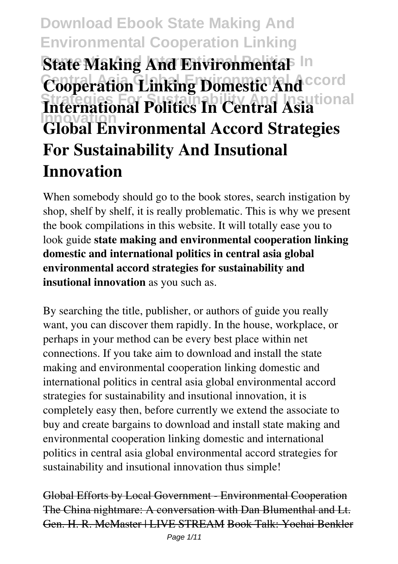# **Download Ebook State Making And Environmental Cooperation Linking State Making And Environmental** In **Cooperation Linking Domestic And CCord Strategies For Sustainability And Insutional International Politics In Central Asia Innovation Global Environmental Accord Strategies For Sustainability And Insutional Innovation**

When somebody should go to the book stores, search instigation by shop, shelf by shelf, it is really problematic. This is why we present the book compilations in this website. It will totally ease you to look guide **state making and environmental cooperation linking domestic and international politics in central asia global environmental accord strategies for sustainability and insutional innovation** as you such as.

By searching the title, publisher, or authors of guide you really want, you can discover them rapidly. In the house, workplace, or perhaps in your method can be every best place within net connections. If you take aim to download and install the state making and environmental cooperation linking domestic and international politics in central asia global environmental accord strategies for sustainability and insutional innovation, it is completely easy then, before currently we extend the associate to buy and create bargains to download and install state making and environmental cooperation linking domestic and international politics in central asia global environmental accord strategies for sustainability and insutional innovation thus simple!

Global Efforts by Local Government - Environmental Cooperation The China nightmare: A conversation with Dan Blumenthal and Lt. Gen. H. R. McMaster | LIVE STREAM Book Talk: Yochai Benkler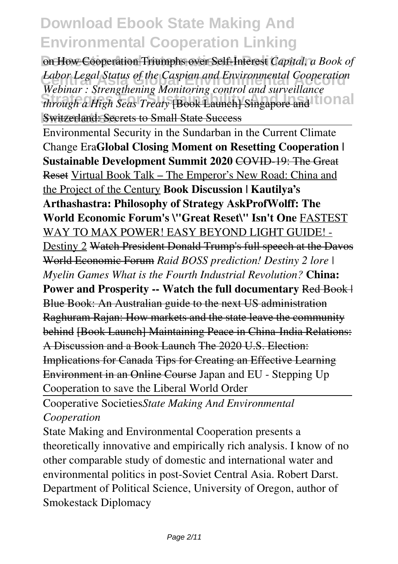**On How Cooperation Triumphs over Self-Interest** *Capital, a Book of Cabor Legal Status of the Caspian and Environmental Cooperation*<br>Webinar : Strengthening Monitoring control and surveillance *through a High Seas Treaty* [Book Launch] Singapore and **tional Switzerland: Secrets to Small State Success** *Labor Legal Status of the Caspian and Environmental Cooperation*

Environmental Security in the Sundarban in the Current Climate Change Era**Global Closing Moment on Resetting Cooperation | Sustainable Development Summit 2020** COVID-19: The Great Reset Virtual Book Talk – The Emperor's New Road: China and the Project of the Century **Book Discussion | Kautilya's Arthashastra: Philosophy of Strategy AskProfWolff: The World Economic Forum's \"Great Reset\" Isn't One** FASTEST WAY TO MAX POWER! EASY BEYOND LIGHT GUIDE! - Destiny 2 Watch President Donald Trump's full speech at the Davos World Economic Forum *Raid BOSS prediction! Destiny 2 lore | Myelin Games What is the Fourth Industrial Revolution?* **China: Power and Prosperity -- Watch the full documentary Red Book | |** Blue Book: An Australian guide to the next US administration Raghuram Rajan: How markets and the state leave the community behind [Book Launch] Maintaining Peace in China-India Relations: A Discussion and a Book Launch The 2020 U.S. Election: Implications for Canada Tips for Creating an Effective Learning Environment in an Online Course Japan and EU - Stepping Up Cooperation to save the Liberal World Order

Cooperative Societies*State Making And Environmental Cooperation*

State Making and Environmental Cooperation presents a theoretically innovative and empirically rich analysis. I know of no other comparable study of domestic and international water and environmental politics in post-Soviet Central Asia. Robert Darst. Department of Political Science, University of Oregon, author of Smokestack Diplomacy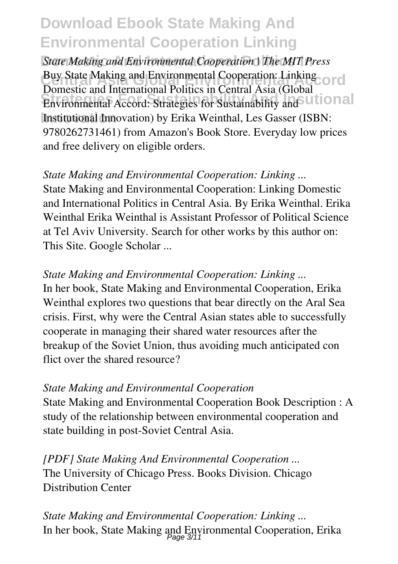**State Making and Environmental Cooperation | The MIT Press Buy State Making and Environmental Cooperation: Linking ord Excited the Institutional Politics In Solidar Political** (Steela Lional **Innovation** Institutional Innovation) by Erika Weinthal, Les Gasser (ISBN: Domestic and International Politics in Central Asia (Global 9780262731461) from Amazon's Book Store. Everyday low prices and free delivery on eligible orders.

*State Making and Environmental Cooperation: Linking ...* State Making and Environmental Cooperation: Linking Domestic and International Politics in Central Asia. By Erika Weinthal. Erika Weinthal Erika Weinthal is Assistant Professor of Political Science at Tel Aviv University. Search for other works by this author on: This Site. Google Scholar ...

*State Making and Environmental Cooperation: Linking ...* In her book, State Making and Environmental Cooperation, Erika Weinthal explores two questions that bear directly on the Aral Sea crisis. First, why were the Central Asian states able to successfully cooperate in managing their shared water resources after the breakup of the Soviet Union, thus avoiding much anticipated con flict over the shared resource?

#### *State Making and Environmental Cooperation*

State Making and Environmental Cooperation Book Description : A study of the relationship between environmental cooperation and state building in post-Soviet Central Asia.

*[PDF] State Making And Environmental Cooperation ...* The University of Chicago Press. Books Division. Chicago Distribution Center

*State Making and Environmental Cooperation: Linking ...* In her book, State Making and Environmental Cooperation, Erika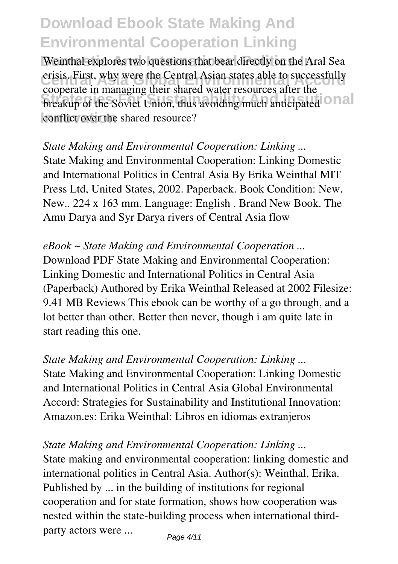Weinthal explores two questions that bear directly on the Aral Sea crisis. First, why were the Central Asian states able to successfully **Strategies For Superior Community And Institute And Institute International** conflict over the shared resource? cooperate in managing their shared water resources after the

*State Making and Environmental Cooperation: Linking ...* State Making and Environmental Cooperation: Linking Domestic and International Politics in Central Asia By Erika Weinthal MIT Press Ltd, United States, 2002. Paperback. Book Condition: New. New.. 224 x 163 mm. Language: English . Brand New Book. The Amu Darya and Syr Darya rivers of Central Asia flow

*eBook ~ State Making and Environmental Cooperation ...* Download PDF State Making and Environmental Cooperation: Linking Domestic and International Politics in Central Asia (Paperback) Authored by Erika Weinthal Released at 2002 Filesize: 9.41 MB Reviews This ebook can be worthy of a go through, and a lot better than other. Better then never, though i am quite late in start reading this one.

*State Making and Environmental Cooperation: Linking ...* State Making and Environmental Cooperation: Linking Domestic and International Politics in Central Asia Global Environmental Accord: Strategies for Sustainability and Institutional Innovation: Amazon.es: Erika Weinthal: Libros en idiomas extranjeros

*State Making and Environmental Cooperation: Linking ...* State making and environmental cooperation: linking domestic and international politics in Central Asia. Author(s): Weinthal, Erika. Published by ... in the building of institutions for regional cooperation and for state formation, shows how cooperation was nested within the state-building process when international thirdparty actors were ...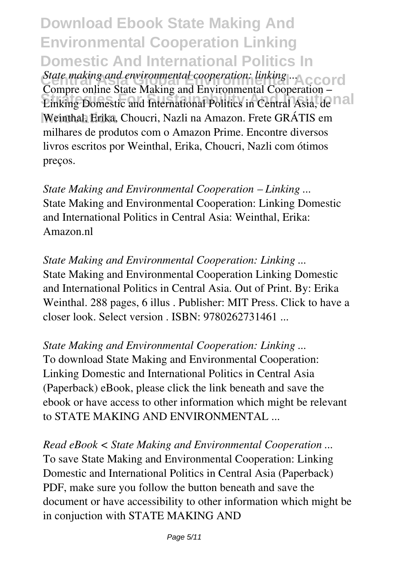**Download Ebook State Making And Environmental Cooperation Linking Domestic And International Politics In** State making and environmental cooperation: linking .... CO<sub>ntra</sub> Cooperation: linking ... **Strategies Suite Francisco Instructional Politics in Central Asia, de la la la contral Asia, de la la contrad Asia, de la la contrad de la contrad de la contrad de la contrad de la contrad de la contrad de la contrad de l** Weinthal, Erika, Choucri, Nazli na Amazon. Frete GRÁTIS em Compre online State Making and Environmental Cooperation – milhares de produtos com o Amazon Prime. Encontre diversos livros escritos por Weinthal, Erika, Choucri, Nazli com ótimos preços.

*State Making and Environmental Cooperation – Linking ...* State Making and Environmental Cooperation: Linking Domestic and International Politics in Central Asia: Weinthal, Erika: Amazon.nl

*State Making and Environmental Cooperation: Linking ...* State Making and Environmental Cooperation Linking Domestic and International Politics in Central Asia. Out of Print. By: Erika Weinthal. 288 pages, 6 illus . Publisher: MIT Press. Click to have a closer look. Select version . ISBN: 9780262731461 ...

*State Making and Environmental Cooperation: Linking ...* To download State Making and Environmental Cooperation: Linking Domestic and International Politics in Central Asia

(Paperback) eBook, please click the link beneath and save the ebook or have access to other information which might be relevant to STATE MAKING AND ENVIRONMENTAL ...

*Read eBook < State Making and Environmental Cooperation ...* To save State Making and Environmental Cooperation: Linking Domestic and International Politics in Central Asia (Paperback) PDF, make sure you follow the button beneath and save the document or have accessibility to other information which might be in conjuction with STATE MAKING AND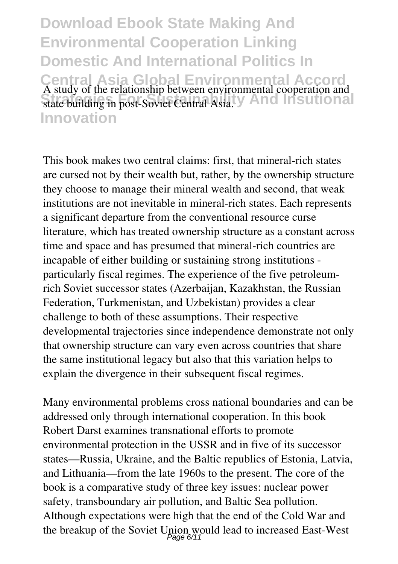**Download Ebook State Making And Environmental Cooperation Linking Domestic And International Politics In Central Asia Global Environmental Accord** state building in post-Soviet Central Asia. *State Subscriptional* **Innovation** A study of the relationship between environmental cooperation and state building in post-Soviet Central Asia.

This book makes two central claims: first, that mineral-rich states are cursed not by their wealth but, rather, by the ownership structure they choose to manage their mineral wealth and second, that weak institutions are not inevitable in mineral-rich states. Each represents a significant departure from the conventional resource curse literature, which has treated ownership structure as a constant across time and space and has presumed that mineral-rich countries are incapable of either building or sustaining strong institutions particularly fiscal regimes. The experience of the five petroleumrich Soviet successor states (Azerbaijan, Kazakhstan, the Russian Federation, Turkmenistan, and Uzbekistan) provides a clear challenge to both of these assumptions. Their respective developmental trajectories since independence demonstrate not only that ownership structure can vary even across countries that share the same institutional legacy but also that this variation helps to explain the divergence in their subsequent fiscal regimes.

Many environmental problems cross national boundaries and can be addressed only through international cooperation. In this book Robert Darst examines transnational efforts to promote environmental protection in the USSR and in five of its successor states—Russia, Ukraine, and the Baltic republics of Estonia, Latvia, and Lithuania—from the late 1960s to the present. The core of the book is a comparative study of three key issues: nuclear power safety, transboundary air pollution, and Baltic Sea pollution. Although expectations were high that the end of the Cold War and the breakup of the Soviet Union would lead to increased East-West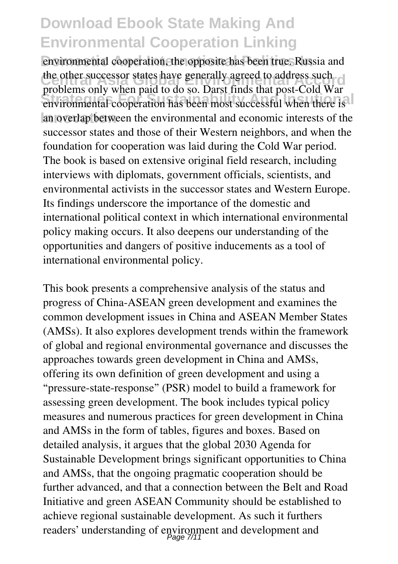environmental cooperation, the opposite has been true. Russia and the other successor states have generally agreed to address such<br>
the other successor states have generally agreed to address such **Strategies For Superior Superior Cooperation** has been most successful when there is an overlap between the environmental and economic interests of the problems only when paid to do so. Darst finds that post-Cold War successor states and those of their Western neighbors, and when the foundation for cooperation was laid during the Cold War period. The book is based on extensive original field research, including interviews with diplomats, government officials, scientists, and environmental activists in the successor states and Western Europe. Its findings underscore the importance of the domestic and international political context in which international environmental policy making occurs. It also deepens our understanding of the opportunities and dangers of positive inducements as a tool of international environmental policy.

This book presents a comprehensive analysis of the status and progress of China-ASEAN green development and examines the common development issues in China and ASEAN Member States (AMSs). It also explores development trends within the framework of global and regional environmental governance and discusses the approaches towards green development in China and AMSs, offering its own definition of green development and using a "pressure-state-response" (PSR) model to build a framework for assessing green development. The book includes typical policy measures and numerous practices for green development in China and AMSs in the form of tables, figures and boxes. Based on detailed analysis, it argues that the global 2030 Agenda for Sustainable Development brings significant opportunities to China and AMSs, that the ongoing pragmatic cooperation should be further advanced, and that a connection between the Belt and Road Initiative and green ASEAN Community should be established to achieve regional sustainable development. As such it furthers readers' understanding of environment and development and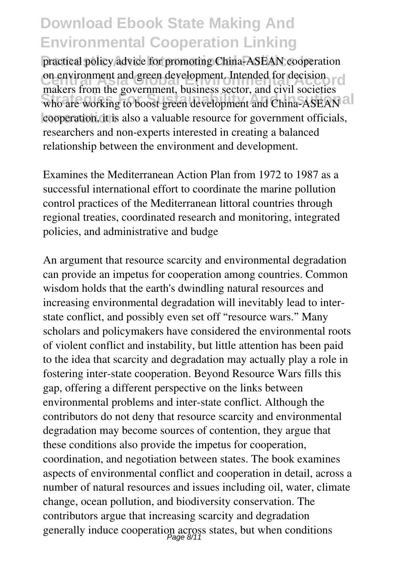practical policy advice for promoting China-ASEAN cooperation on environment and green development. Intended for decision who are working to boost green development and China-ASEAN and cooperation, it is also a valuable resource for government officials, makers from the government, business sector, and civil societies researchers and non-experts interested in creating a balanced relationship between the environment and development.

Examines the Mediterranean Action Plan from 1972 to 1987 as a successful international effort to coordinate the marine pollution control practices of the Mediterranean littoral countries through regional treaties, coordinated research and monitoring, integrated policies, and administrative and budge

An argument that resource scarcity and environmental degradation can provide an impetus for cooperation among countries. Common wisdom holds that the earth's dwindling natural resources and increasing environmental degradation will inevitably lead to interstate conflict, and possibly even set off "resource wars." Many scholars and policymakers have considered the environmental roots of violent conflict and instability, but little attention has been paid to the idea that scarcity and degradation may actually play a role in fostering inter-state cooperation. Beyond Resource Wars fills this gap, offering a different perspective on the links between environmental problems and inter-state conflict. Although the contributors do not deny that resource scarcity and environmental degradation may become sources of contention, they argue that these conditions also provide the impetus for cooperation, coordination, and negotiation between states. The book examines aspects of environmental conflict and cooperation in detail, across a number of natural resources and issues including oil, water, climate change, ocean pollution, and biodiversity conservation. The contributors argue that increasing scarcity and degradation generally induce cooperation across states, but when conditions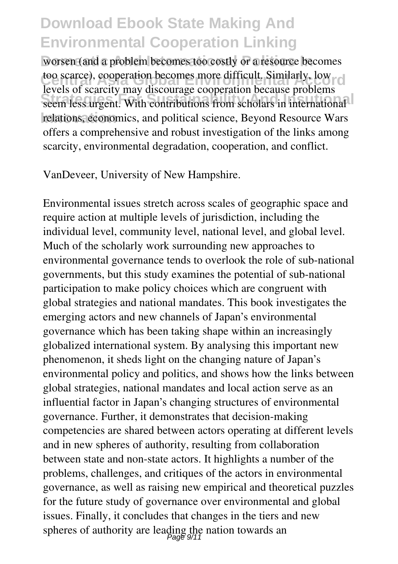worsen (and a problem becomes too costly or a resource becomes too scarce), cooperation becomes more difficult. Similarly, low seem less urgent. With contributions from scholars in international relations, economics, and political science, Beyond Resource Wars levels of scarcity may discourage cooperation because problems offers a comprehensive and robust investigation of the links among scarcity, environmental degradation, cooperation, and conflict.

VanDeveer, University of New Hampshire.

Environmental issues stretch across scales of geographic space and require action at multiple levels of jurisdiction, including the individual level, community level, national level, and global level. Much of the scholarly work surrounding new approaches to environmental governance tends to overlook the role of sub-national governments, but this study examines the potential of sub-national participation to make policy choices which are congruent with global strategies and national mandates. This book investigates the emerging actors and new channels of Japan's environmental governance which has been taking shape within an increasingly globalized international system. By analysing this important new phenomenon, it sheds light on the changing nature of Japan's environmental policy and politics, and shows how the links between global strategies, national mandates and local action serve as an influential factor in Japan's changing structures of environmental governance. Further, it demonstrates that decision-making competencies are shared between actors operating at different levels and in new spheres of authority, resulting from collaboration between state and non-state actors. It highlights a number of the problems, challenges, and critiques of the actors in environmental governance, as well as raising new empirical and theoretical puzzles for the future study of governance over environmental and global issues. Finally, it concludes that changes in the tiers and new spheres of authority are leading the nation towards an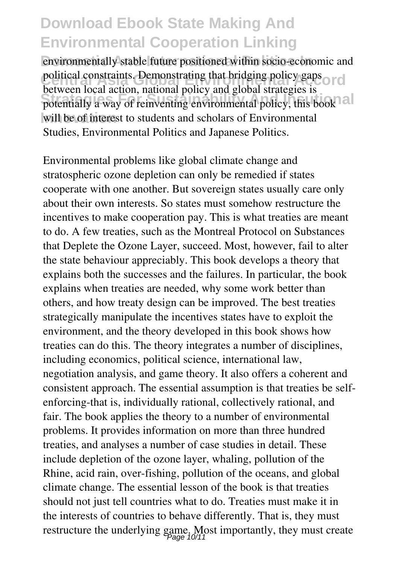environmentally stable future positioned within socio-economic and political constraints. Demonstrating that bridging policy gaps or d potentially a way of reinventing environmental policy, this book will be of interest to students and scholars of Environmental between local action, national policy and global strategies is Studies, Environmental Politics and Japanese Politics.

Environmental problems like global climate change and stratospheric ozone depletion can only be remedied if states cooperate with one another. But sovereign states usually care only about their own interests. So states must somehow restructure the incentives to make cooperation pay. This is what treaties are meant to do. A few treaties, such as the Montreal Protocol on Substances that Deplete the Ozone Layer, succeed. Most, however, fail to alter the state behaviour appreciably. This book develops a theory that explains both the successes and the failures. In particular, the book explains when treaties are needed, why some work better than others, and how treaty design can be improved. The best treaties strategically manipulate the incentives states have to exploit the environment, and the theory developed in this book shows how treaties can do this. The theory integrates a number of disciplines, including economics, political science, international law, negotiation analysis, and game theory. It also offers a coherent and consistent approach. The essential assumption is that treaties be selfenforcing-that is, individually rational, collectively rational, and fair. The book applies the theory to a number of environmental problems. It provides information on more than three hundred treaties, and analyses a number of case studies in detail. These include depletion of the ozone layer, whaling, pollution of the Rhine, acid rain, over-fishing, pollution of the oceans, and global climate change. The essential lesson of the book is that treaties should not just tell countries what to do. Treaties must make it in the interests of countries to behave differently. That is, they must restructure the underlying game. Most importantly, they must create